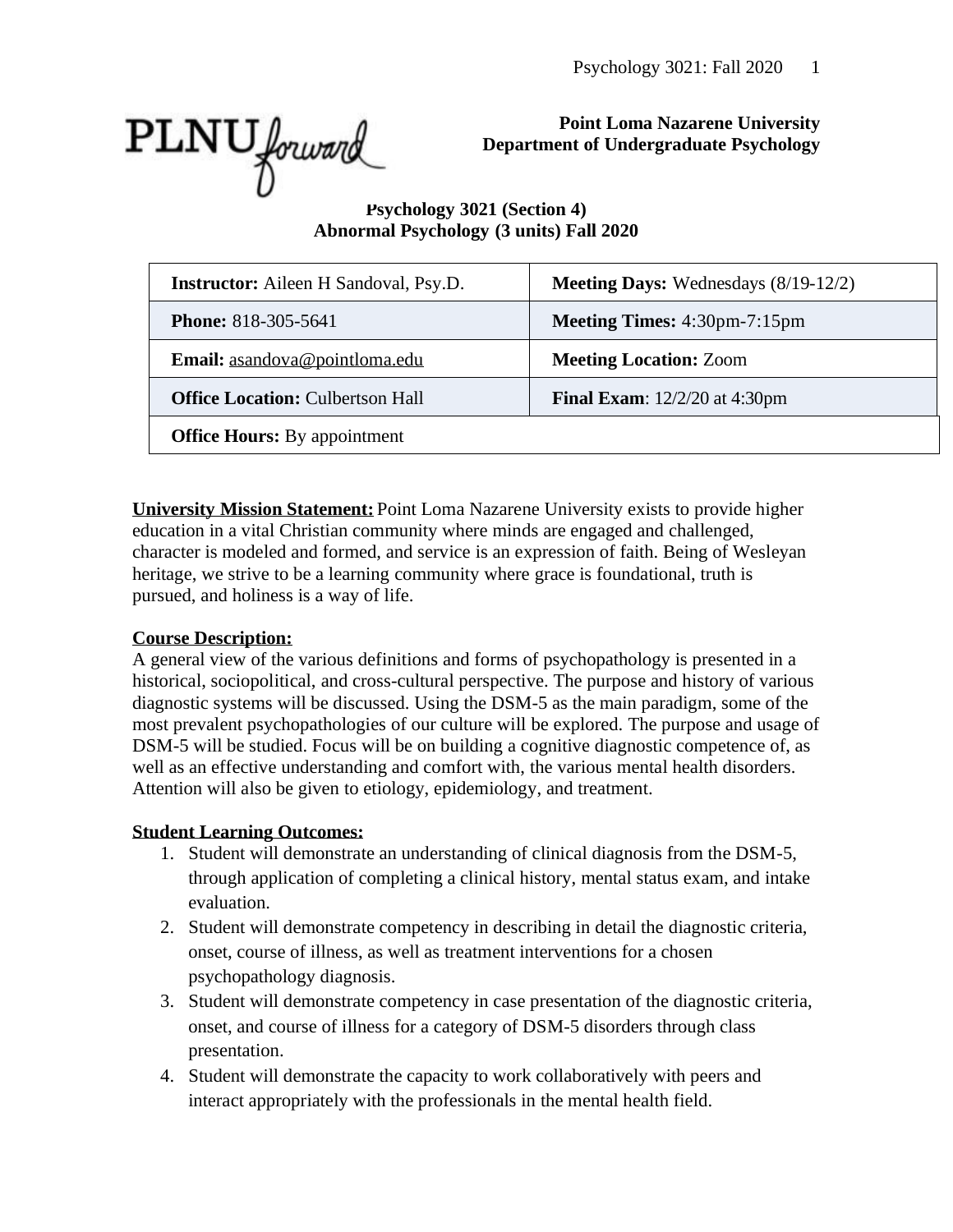

# **Point Loma Nazarene University Department of Undergraduate Psychology**

# **Psychology 3021 (Section 4) Abnormal Psychology (3 units) Fall 2020**

| <b>Instructor:</b> Aileen H Sandoval, Psy.D. | <b>Meeting Days:</b> Wednesdays $(8/19-12/2)$ |  |
|----------------------------------------------|-----------------------------------------------|--|
| <b>Phone: 818-305-5641</b>                   | <b>Meeting Times:</b> 4:30pm-7:15pm           |  |
| Email: asandova@pointloma.edu                | <b>Meeting Location: Zoom</b>                 |  |
| <b>Office Location: Culbertson Hall</b>      | <b>Final Exam:</b> 12/2/20 at 4:30pm          |  |
| <b>Office Hours:</b> By appointment          |                                               |  |

**University Mission Statement:** Point Loma Nazarene University exists to provide higher education in a vital Christian community where minds are engaged and challenged, character is modeled and formed, and service is an expression of faith. Being of Wesleyan heritage, we strive to be a learning community where grace is foundational, truth is pursued, and holiness is a way of life.

# **Course Description:**

A general view of the various definitions and forms of psychopathology is presented in a historical, sociopolitical, and cross-cultural perspective. The purpose and history of various diagnostic systems will be discussed. Using the DSM-5 as the main paradigm, some of the most prevalent psychopathologies of our culture will be explored. The purpose and usage of DSM-5 will be studied. Focus will be on building a cognitive diagnostic competence of, as well as an effective understanding and comfort with, the various mental health disorders. Attention will also be given to etiology, epidemiology, and treatment.

# **Student Learning Outcomes:**

- 1. Student will demonstrate an understanding of clinical diagnosis from the DSM-5, through application of completing a clinical history, mental status exam, and intake evaluation.
- 2. Student will demonstrate competency in describing in detail the diagnostic criteria, onset, course of illness, as well as treatment interventions for a chosen psychopathology diagnosis.
- 3. Student will demonstrate competency in case presentation of the diagnostic criteria, onset, and course of illness for a category of DSM-5 disorders through class presentation.
- 4. Student will demonstrate the capacity to work collaboratively with peers and interact appropriately with the professionals in the mental health field.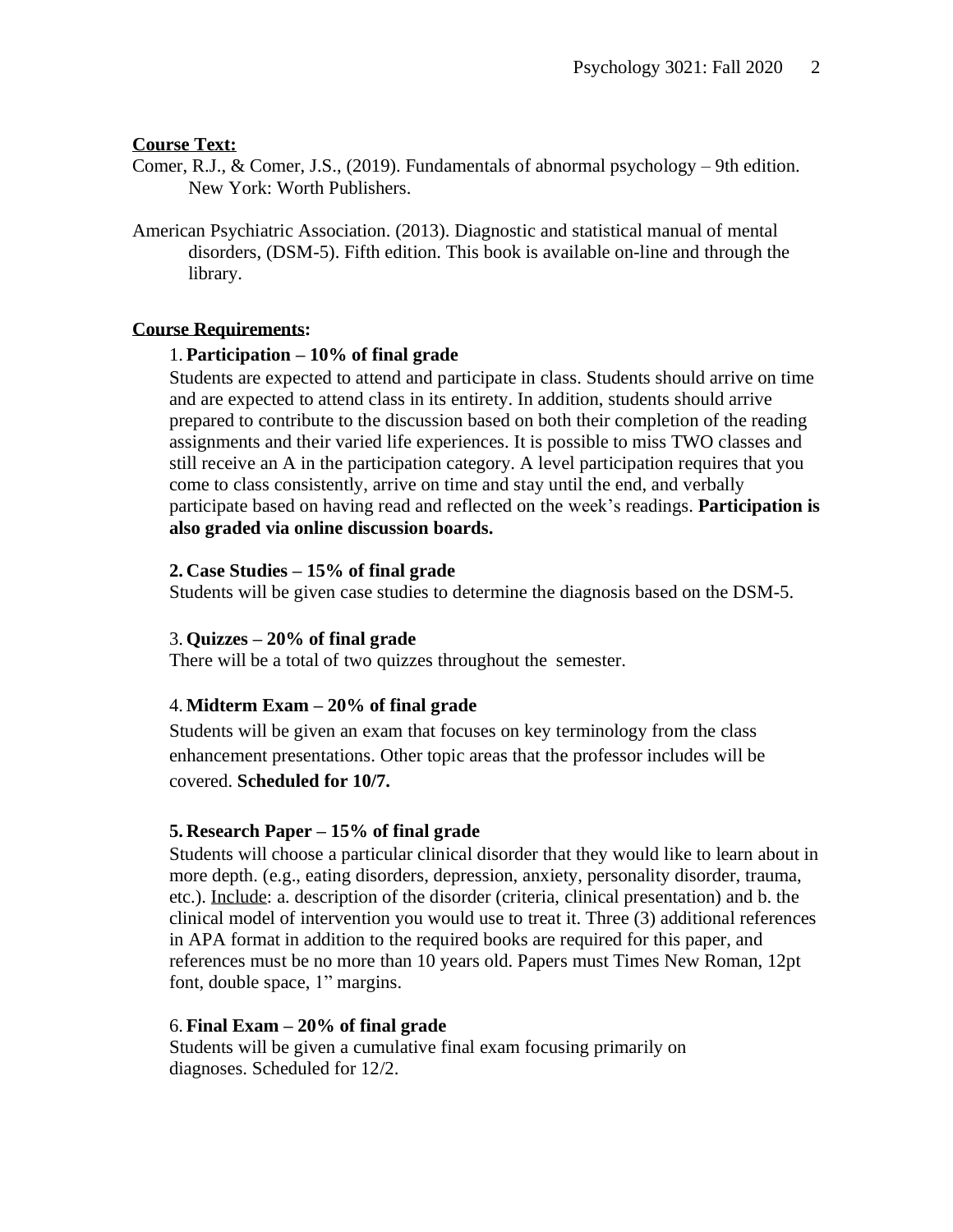#### **Course Text:**

- Comer, R.J., & Comer, J.S., (2019). Fundamentals of abnormal psychology 9th edition. New York: Worth Publishers.
- American Psychiatric Association. (2013). Diagnostic and statistical manual of mental disorders, (DSM-5). Fifth edition. This book is available on-line and through the library.

#### **Course Requirements:**

#### 1. **Participation – 10% of final grade**

Students are expected to attend and participate in class. Students should arrive on time and are expected to attend class in its entirety. In addition, students should arrive prepared to contribute to the discussion based on both their completion of the reading assignments and their varied life experiences. It is possible to miss TWO classes and still receive an A in the participation category. A level participation requires that you come to class consistently, arrive on time and stay until the end, and verbally participate based on having read and reflected on the week's readings. **Participation is also graded via online discussion boards.** 

#### **2. Case Studies – 15% of final grade**

Students will be given case studies to determine the diagnosis based on the DSM-5.

#### 3. **Quizzes – 20% of final grade**

There will be a total of two quizzes throughout the semester.

#### 4. **Midterm Exam – 20% of final grade**

Students will be given an exam that focuses on key terminology from the class enhancement presentations. Other topic areas that the professor includes will be covered. **Scheduled for 10/7.**

#### **5. Research Paper – 15% of final grade**

Students will choose a particular clinical disorder that they would like to learn about in more depth. (e.g., eating disorders, depression, anxiety, personality disorder, trauma, etc.). Include: a. description of the disorder (criteria, clinical presentation) and b. the clinical model of intervention you would use to treat it. Three (3) additional references in APA format in addition to the required books are required for this paper, and references must be no more than 10 years old. Papers must Times New Roman, 12pt font, double space, 1" margins.

#### 6. **Final Exam – 20% of final grade**

Students will be given a cumulative final exam focusing primarily on diagnoses. Scheduled for 12/2.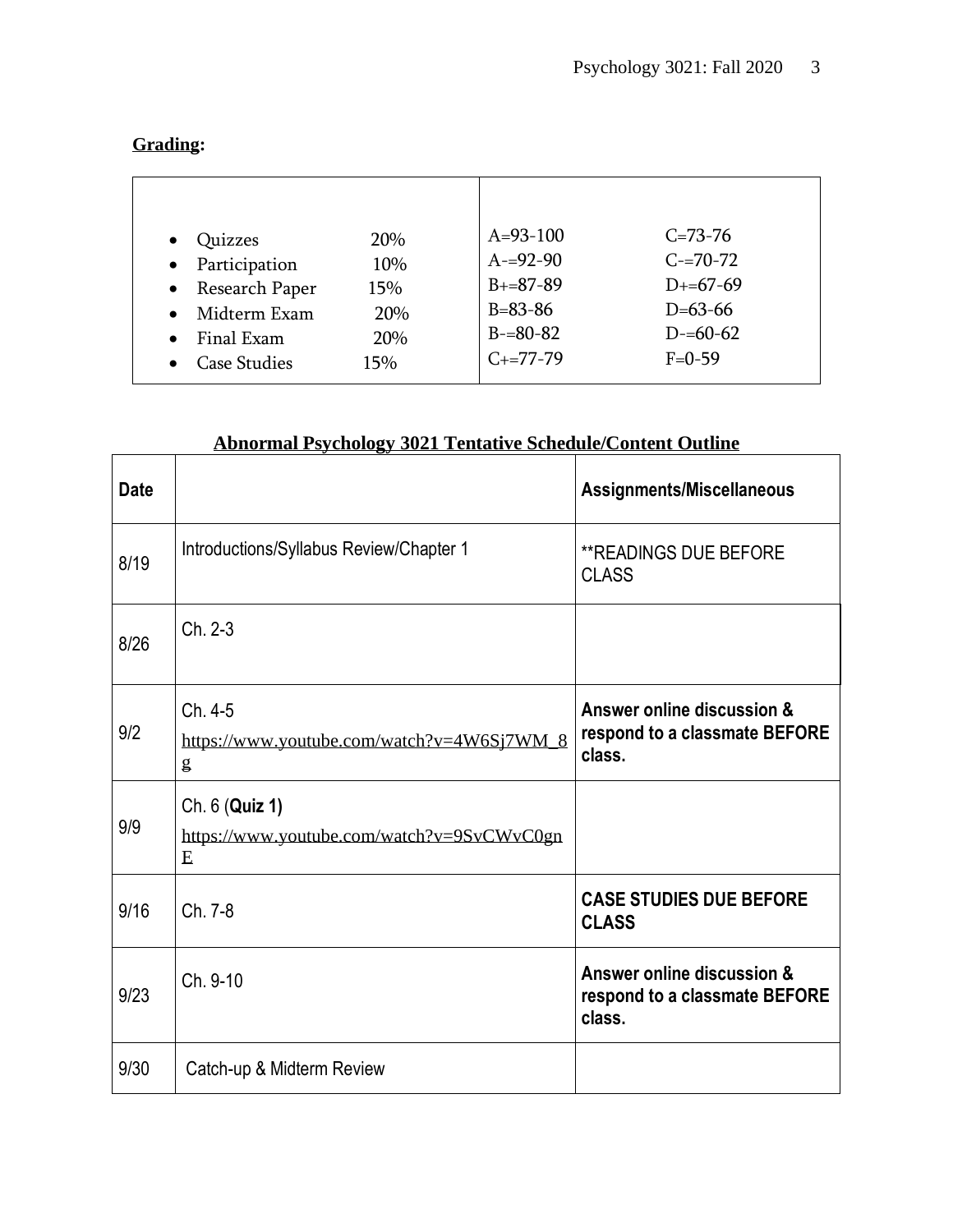| anns<br>rи<br>п |
|-----------------|
|-----------------|

| Quizzes<br>Participation<br>$\bullet$<br>Research Paper<br>$\bullet$<br>Midterm Exam<br>$\bullet$<br>Final Exam<br><b>Case Studies</b> | <b>20%</b><br>10%<br>15%<br>20%<br>20%<br>15% | $A=93-100$<br>$A = 92 - 90$<br>$B+=87-89$<br>$B = 83 - 86$<br>$B = 80 - 82$<br>$C_{+}=77-79$ | $C = 73 - 76$<br>$C = 70 - 72$<br>$D+ = 67-69$<br>$D=63-66$<br>$D = 60 - 62$<br>$F = 0 - 59$ |
|----------------------------------------------------------------------------------------------------------------------------------------|-----------------------------------------------|----------------------------------------------------------------------------------------------|----------------------------------------------------------------------------------------------|
|                                                                                                                                        |                                               |                                                                                              |                                                                                              |

# **Abnormal Psychology 3021 Tentative Schedule/Content Outline**

| <b>Date</b> |                                                                   | Assignments/Miscellaneous                                             |
|-------------|-------------------------------------------------------------------|-----------------------------------------------------------------------|
| 8/19        | Introductions/Syllabus Review/Chapter 1                           | <b>**READINGS DUE BEFORE</b><br><b>CLASS</b>                          |
| 8/26        | Ch. 2-3                                                           |                                                                       |
| 9/2         | Ch. 4-5<br>https://www.youtube.com/watch?v=4W6Sj7WM_8<br>g        | Answer online discussion &<br>respond to a classmate BEFORE<br>class. |
| 9/9         | Ch. 6 (Quiz 1)<br>https://www.youtube.com/watch?v=9SvCWvC0gn<br>E |                                                                       |
| 9/16        | Ch. 7-8                                                           | <b>CASE STUDIES DUE BEFORE</b><br><b>CLASS</b>                        |
| 9/23        | Ch. 9-10                                                          | Answer online discussion &<br>respond to a classmate BEFORE<br>class. |
| 9/30        | Catch-up & Midterm Review                                         |                                                                       |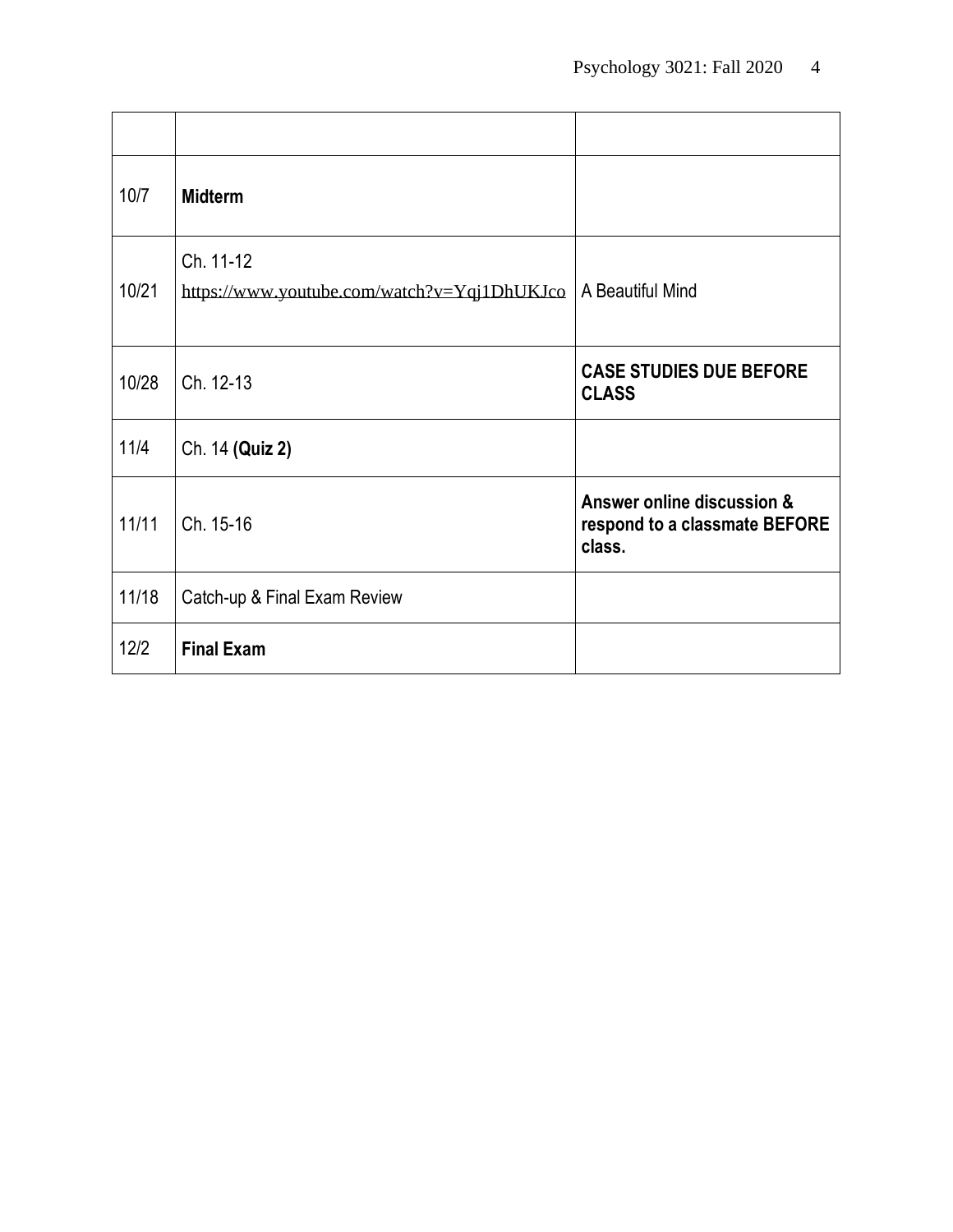| 10/7  | <b>Midterm</b>                                           |                                                                       |
|-------|----------------------------------------------------------|-----------------------------------------------------------------------|
| 10/21 | Ch. 11-12<br>https://www.youtube.com/watch?v=Yqj1DhUKJco | A Beautiful Mind                                                      |
| 10/28 | Ch. 12-13                                                | <b>CASE STUDIES DUE BEFORE</b><br><b>CLASS</b>                        |
| 11/4  | Ch. 14 (Quiz 2)                                          |                                                                       |
| 11/11 | Ch. 15-16                                                | Answer online discussion &<br>respond to a classmate BEFORE<br>class. |
| 11/18 | Catch-up & Final Exam Review                             |                                                                       |
| 12/2  | <b>Final Exam</b>                                        |                                                                       |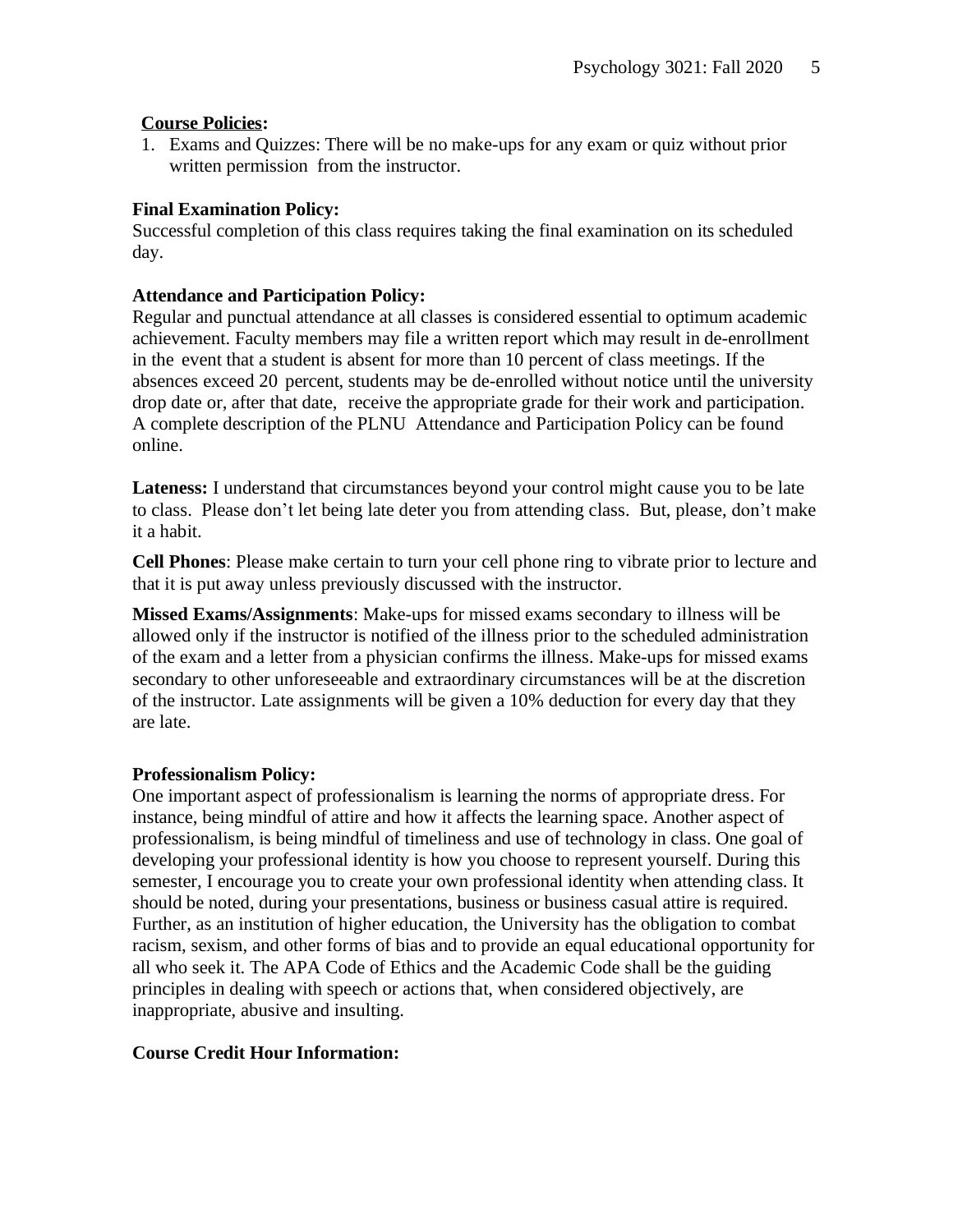# **Course Policies:**

1. Exams and Quizzes: There will be no make-ups for any exam or quiz without prior written permission from the instructor.

# **Final Examination Policy:**

Successful completion of this class requires taking the final examination on its scheduled day.

# **Attendance and Participation Policy:**

Regular and punctual attendance at all classes is considered essential to optimum academic achievement. Faculty members may file a written report which may result in de-enrollment in the event that a student is absent for more than 10 percent of class meetings. If the absences exceed 20 percent, students may be de-enrolled without notice until the university drop date or, after that date, receive the appropriate grade for their work and participation. A complete description of the PLNU Attendance and [Participation](http://catalog.pointloma.edu/content.php?catoid=18&navoid=1278&Class_Attendance) Policy can be found online.

**Lateness:** I understand that circumstances beyond your control might cause you to be late to class. Please don't let being late deter you from attending class. But, please, don't make it a habit.

**Cell Phones**: Please make certain to turn your cell phone ring to vibrate prior to lecture and that it is put away unless previously discussed with the instructor.

**Missed Exams/Assignments**: Make-ups for missed exams secondary to illness will be allowed only if the instructor is notified of the illness prior to the scheduled administration of the exam and a letter from a physician confirms the illness. Make-ups for missed exams secondary to other unforeseeable and extraordinary circumstances will be at the discretion of the instructor. Late assignments will be given a 10% deduction for every day that they are late.

#### **Professionalism Policy:**

One important aspect of professionalism is learning the norms of appropriate dress. For instance, being mindful of attire and how it affects the learning space. Another aspect of professionalism, is being mindful of timeliness and use of technology in class. One goal of developing your professional identity is how you choose to represent yourself. During this semester, I encourage you to create your own professional identity when attending class. It should be noted, during your presentations, business or business casual attire is required. Further, as an institution of higher education, the University has the obligation to combat racism, sexism, and other forms of bias and to provide an equal educational opportunity for all who seek it. The APA Code of Ethics and the Academic Code shall be the guiding principles in dealing with speech or actions that, when considered objectively, are inappropriate, abusive and insulting.

#### **Course Credit Hour Information:**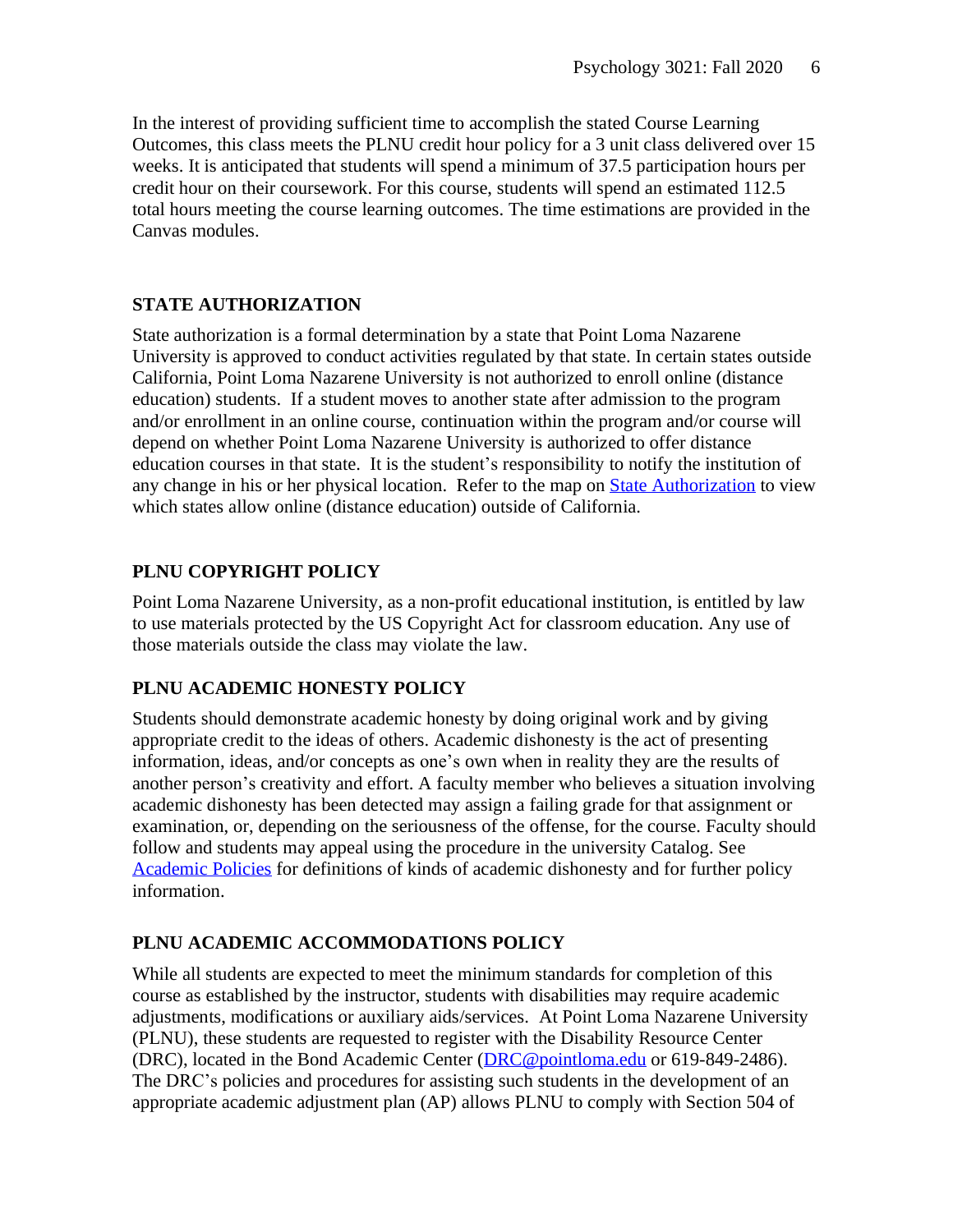In the interest of providing sufficient time to accomplish the stated Course Learning Outcomes, this class meets the PLNU credit hour policy for a 3 unit class delivered over 15 weeks. It is anticipated that students will spend a minimum of 37.5 participation hours per credit hour on their coursework. For this course, students will spend an estimated 112.5 total hours meeting the course learning outcomes. The time estimations are provided in the Canvas modules.

# **STATE AUTHORIZATION**

State authorization is a formal determination by a state that Point Loma Nazarene University is approved to conduct activities regulated by that state. In certain states outside California, Point Loma Nazarene University is not authorized to enroll online (distance education) students. If a student moves to another state after admission to the program and/or enrollment in an online course, continuation within the program and/or course will depend on whether Point Loma Nazarene University is authorized to offer distance education courses in that state. It is the student's responsibility to notify the institution of any change in his or her physical location. Refer to the map on State [Authorization](https://www.pointloma.edu/offices/office-institutional-effectiveness-research/disclosures) to view which states allow online (distance education) outside of California.

#### **PLNU COPYRIGHT POLICY**

Point Loma Nazarene University, as a non-profit educational institution, is entitled by law to use materials protected by the US Copyright Act for classroom education. Any use of those materials outside the class may violate the law.

# **PLNU ACADEMIC HONESTY POLICY**

Students should demonstrate academic honesty by doing original work and by giving appropriate credit to the ideas of others. Academic dishonesty is the act of presenting information, ideas, and/or concepts as one's own when in reality they are the results of another person's creativity and effort. A faculty member who believes a situation involving academic dishonesty has been detected may assign a failing grade for that assignment or examination, or, depending on the seriousness of the offense, for the course. Faculty should follow and students may appeal using the procedure in the university Catalog. See [Academic](https://catalog.pointloma.edu/content.php?catoid=41&navoid=2435#Academic_Honesty) Policies for definitions of kinds of academic dishonesty and for further policy information.

#### **PLNU ACADEMIC ACCOMMODATIONS POLICY**

While all students are expected to meet the minimum standards for completion of this course as established by the instructor, students with disabilities may require academic adjustments, modifications or auxiliary aids/services. At Point Loma Nazarene University (PLNU), these students are requested to register with the Disability Resource Center (DRC), located in the Bond Academic Center [\(DRC@pointloma.edu](mailto:DRC@pointloma.edu) or 619-849-2486). The DRC's policies and procedures for assisting such students in the development of an appropriate academic adjustment plan (AP) allows PLNU to comply with Section 504 of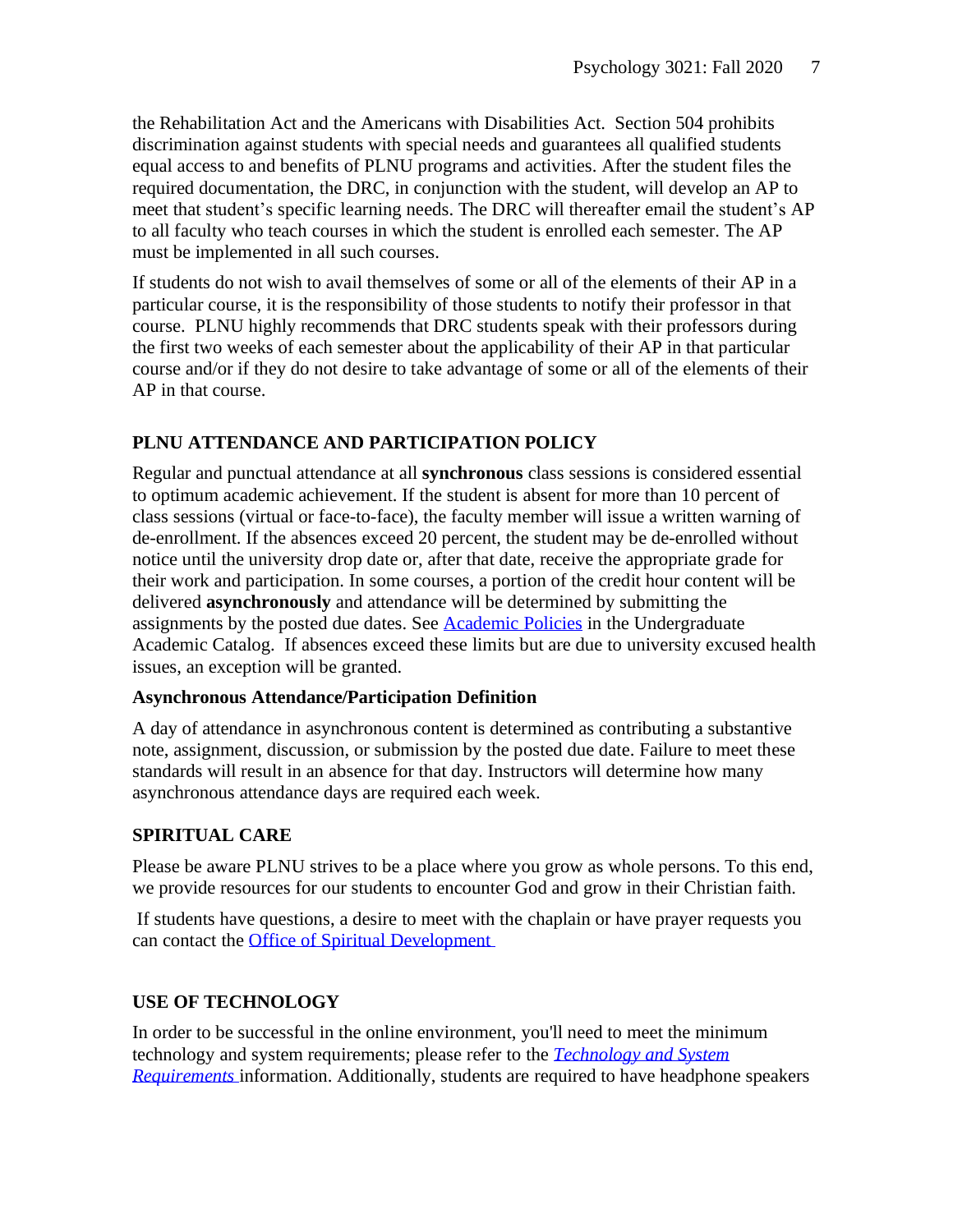the Rehabilitation Act and the Americans with Disabilities Act. Section 504 prohibits discrimination against students with special needs and guarantees all qualified students equal access to and benefits of PLNU programs and activities. After the student files the required documentation, the DRC, in conjunction with the student, will develop an AP to meet that student's specific learning needs. The DRC will thereafter email the student's AP to all faculty who teach courses in which the student is enrolled each semester. The AP must be implemented in all such courses.

If students do not wish to avail themselves of some or all of the elements of their AP in a particular course, it is the responsibility of those students to notify their professor in that course. PLNU highly recommends that DRC students speak with their professors during the first two weeks of each semester about the applicability of their AP in that particular course and/or if they do not desire to take advantage of some or all of the elements of their AP in that course.

# **PLNU ATTENDANCE AND PARTICIPATION POLICY**

Regular and punctual attendance at all **synchronous** class sessions is considered essential to optimum academic achievement. If the student is absent for more than 10 percent of class sessions (virtual or face-to-face), the faculty member will issue a written warning of de-enrollment. If the absences exceed 20 percent, the student may be de-enrolled without notice until the university drop date or, after that date, receive the appropriate grade for their work and participation. In some courses, a portion of the credit hour content will be delivered **asynchronously** and attendance will be determined by submitting the assignments by the posted due dates. See [Academic](https://catalog.pointloma.edu/content.php?catoid=46&navoid=2650#Class_Attendance) Policies in the Undergraduate Academic Catalog. If absences exceed these limits but are due to university excused health issues, an exception will be granted.

#### **Asynchronous Attendance/Participation Definition**

A day of attendance in asynchronous content is determined as contributing a substantive note, assignment, discussion, or submission by the posted due date. Failure to meet these standards will result in an absence for that day. Instructors will determine how many asynchronous attendance days are required each week.

# **SPIRITUAL CARE**

Please be aware PLNU strives to be a place where you grow as whole persons. To this end, we provide resources for our students to encounter God and grow in their Christian faith.

If students have questions, a desire to meet with the chaplain or have prayer requests you can contact the Office of Spiritual [Development](https://www.pointloma.edu/offices/spiritual-development)

# **USE OF TECHNOLOGY**

In order to be successful in the online environment, you'll need to meet the minimum technology and system requirements; please refer to the *[Technology](https://help.pointloma.edu/TDClient/1808/Portal/KB/ArticleDet?ID=108349) and System [Requirements](https://help.pointloma.edu/TDClient/1808/Portal/KB/ArticleDet?ID=108349)* information. Additionally, students are required to have headphone speakers